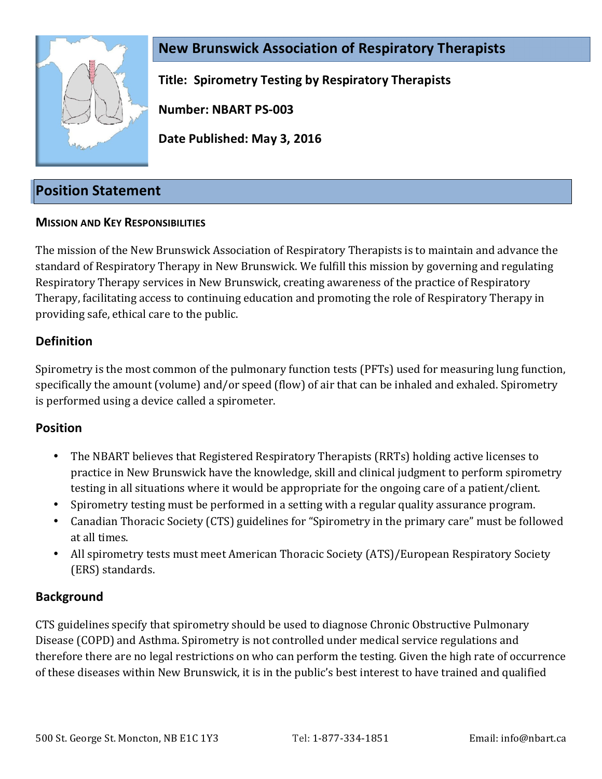

**New Brunswick Association of Respiratory Therapists Title: Spirometry Testing by Respiratory Therapists**

**Number: NBART PS-003**

**Date Published: May 3, 2016**

# **Position Statement**

### **MISSION AND KEY RESPONSIBILITIES**

The mission of the New Brunswick Association of Respiratory Therapists is to maintain and advance the standard of Respiratory Therapy in New Brunswick. We fulfill this mission by governing and regulating Respiratory Therapy services in New Brunswick, creating awareness of the practice of Respiratory Therapy, facilitating access to continuing education and promoting the role of Respiratory Therapy in providing safe, ethical care to the public.

## **Definition**

Spirometry is the most common of the pulmonary function tests (PFTs) used for measuring lung function, specifically the amount (volume) and/or speed (flow) of air that can be inhaled and exhaled. Spirometry is performed using a device called a spirometer.

### **Position**

- The NBART believes that Registered Respiratory Therapists (RRTs) holding active licenses to practice in New Brunswick have the knowledge, skill and clinical judgment to perform spirometry testing in all situations where it would be appropriate for the ongoing care of a patient/client.
- Spirometry testing must be performed in a setting with a regular quality assurance program.
- Canadian Thoracic Society (CTS) guidelines for "Spirometry in the primary care" must be followed at all times.
- All spirometry tests must meet American Thoracic Society (ATS)/European Respiratory Society (ERS) standards.

### **Background**

CTS guidelines specify that spirometry should be used to diagnose Chronic Obstructive Pulmonary Disease (COPD) and Asthma. Spirometry is not controlled under medical service regulations and therefore there are no legal restrictions on who can perform the testing. Given the high rate of occurrence of these diseases within New Brunswick, it is in the public's best interest to have trained and qualified